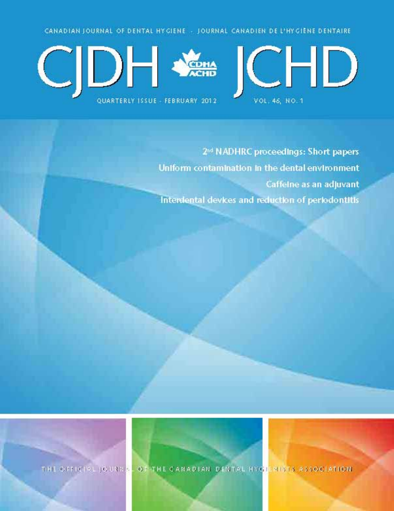CANADIAN JOURNAL OF DENTAL HYGIENE - JOURNAL CANADIEN DE L'HYGIENE DENTAIRE





2<sup>nd</sup> NADHRC proceedings: Short papers Uniform contamination in the dental environment Caffeine as an adjuvant Interdental devices and reduction of periodontitis

THE OFFICIAL JOURN & OF THE CANADIAN DENTAL HYGHENISTS ASSOCIATION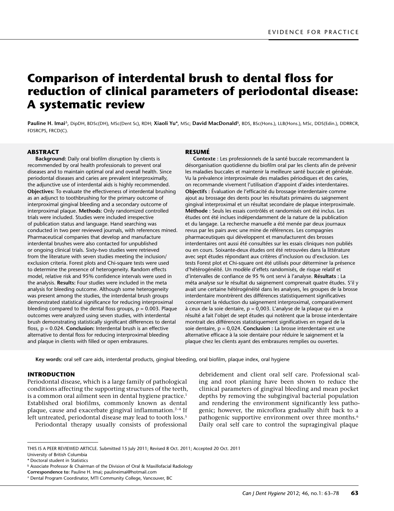# **Comparison of interdental brush to dental floss for reduction of clinical parameters of periodontal disease: A systematic review**

**Pauline H. Imai**<sup>∆</sup>, DipDH, BDSc(DH), MSc(Dent Sc), RDH; **Xiaoli Yu**\*, MSc; **David MacDonald**§ , BDS, BSc(Hons.), LLB(Hons.), MSc, DDS(Edin.), DDRRCR, FDSRCPS, FRCD(C).

# **Abstract**

**Background:** Daily oral biofilm disruption by clients is recommended by oral health professionals to prevent oral diseases and to maintain optimal oral and overall health. Since periodontal diseases and caries are prevalent interproximally, the adjunctive use of interdental aids is highly recommended. **Objectives:** To evaluate the effectiveness of interdental brushing as an adjunct to toothbrushing for the primary outcome of interproximal gingival bleeding and a secondary outcome of interproximal plaque. **Methods:** Only randomized controlled trials were included. Studies were included irrespective of publication status and language. Hand searching was conducted in two peer reviewed journals, with references mined. Pharmaceutical companies that develop and manufacture interdental brushes were also contacted for unpublished or ongoing clinical trials. Sixty-two studies were retrieved from the literature with seven studies meeting the inclusion/ exclusion criteria. Forest plots and Chi-square tests were used to determine the presence of heterogeneity. Random effects model, relative risk and 95% confidence intervals were used in the analysis. **Results:** Four studies were included in the meta analysis for bleeding outcome. Although some heterogeneity was present among the studies, the interdental brush groups demonstrated statistical significance for reducing interproximal bleeding compared to the dental floss groups,  $p = 0.003$ . Plaque outcomes were analyzed using seven studies, with interdental brush demonstrating statistically significant differences to dental floss, p = 0.024. **Conclusion:** Interdental brush is an effective alternative to dental floss for reducing interproximal bleeding and plaque in clients with filled or open embrasures.

#### **resumé**

**Contexte :** Les professionnels de la santé buccale recommandent la désorganisation quotidienne du biofilm oral par les clients afin de prévenir les maladies buccales et maintenir la meilleure santé buccale et générale. Vu la prévalence interproximale des maladies périodiques et des caries, on recommande vivement l'utilisation d'appoint d'aides interdentaires. **Objectifs :** Évaluation de l'efficacité du brossage interdentaire comme ajout au brossage des dents pour les résultats primaires du saignement gingival interproximal et un résultat secondaire de plaque interproximale. **Méthode :** Seuls les essais contrôlés et randomisés ont été inclus. Les études ont été inclues indépendamment de la nature de la publication et du langage. La recherche manuelle a été menée par deux journaux revus par les pairs avec une mine de références. Les compagnies pharmaceutiques qui développent et manufacturent des brosses interdentaires ont aussi été consultées sur les essais cliniques non publiés ou en cours. Soixante-deux études ont été retrouvées dans la littérature avec sept études répondant aux critères d'inclusion ou d'exclusion. Les tests Forest plot et Chi-square ont été utilisés pour déterminer la présence d'hétérogénéité. Un modèle d'effets randomisés, de risque relatif et d'intervalles de confiance de 95 % ont servi à l'analyse. **Résultats :** La méta analyse sur le résultat du saignement comprenait quatre études. S'il y avait une certaine hétérogénéité dans les analyses, les groupes de la brosse interdentaire montrèrent des différences statistiquement significatives concernant la réduction du saignement interproximal, comparativement à ceux de la soie dentaire,  $p = 0.003$ . L'analyse de la plaque qui en a résulté a fait l'objet de sept études qui notèrent que la brosse interdentaire montrait des différences statistiquement significatives en regard de la soie dentaire, p = 0,024. **Conclusion :** La brosse interdentaire est une alternative efficace à la soie dentaire pour réduire le saignement et la plaque chez les clients ayant des embrasures remplies ou ouvertes.

**Key words:** oral self care aids, interdental products, gingival bleeding, oral biofilm, plaque index, oral hygiene

# **Introduction**

Periodontal disease, which is a large family of pathological conditions affecting the supporting structures of the teeth, is a common oral ailment seen in dental hygiene practice.<sup>1</sup> Established oral biofilms, commonly known as dental plaque, cause and exacerbate gingival inflammation.2–4 If left untreated, periodontal disease may lead to tooth loss.<sup>5</sup>

Periodontal therapy usually consists of professional

debridement and client oral self care. Professional scaling and root planing have been shown to reduce the clinical parameters of gingival bleeding and mean pocket depths by removing the subgingival bacterial population and rendering the environment significantly less pathogenic; however, the microflora gradually shift back to a pathogenic supportive environment over three months.<sup>6</sup> Daily oral self care to control the supragingival plaque

This is a peer reviewed article. Submitted 15 July 2011; Revised 8 Oct. 2011; Accepted 20 Oct. 2011

University of British Columbia

<sup>\*</sup> Doctoral student in Statistics

<sup>§</sup> Associate Professor & Chairman of the Division of Oral & Maxillofacial Radiology

**Correspondence to:** Pauline H. Imai; paulineimai@hotmail.com

<sup>∆</sup> Dental Program Coordinator, MTI Community College, Vancouver, BC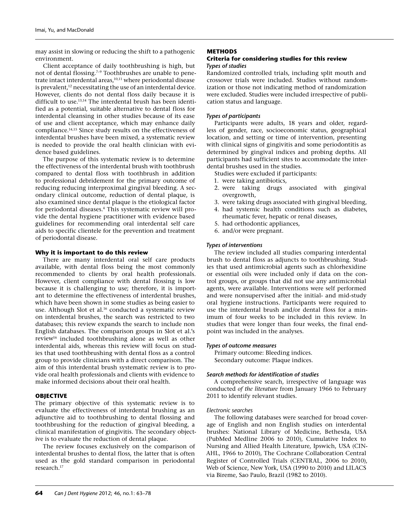may assist in slowing or reducing the shift to a pathogenic environment.

Client acceptance of daily toothbrushing is high, but not of dental flossing.<sup>7-9</sup> Toothbrushes are unable to penetrate intact interdental areas, $10,11$  where periodontal disease is prevalent,<sup>12</sup> necessitating the use of an interdental device. However, clients do not dental floss daily because it is difficult to use.<sup>13,14</sup> The interdental brush has been identified as a potential, suitable alternative to dental floss for interdental cleansing in other studies because of its ease of use and client acceptance, which may enhance daily compliance.14,15 Since study results on the effectiveness of interdental brushes have been mixed, a systematic review is needed to provide the oral health clinician with evidence based guidelines.

The purpose of this systematic review is to determine the effectiveness of the interdental brush with toothbrush compared to dental floss with toothbrush in addition to professional debridement for the primary outcome of reducing reducing interproximal gingival bleeding. A secondary clinical outcome, reduction of dental plaque, is also examined since dental plaque is the etiological factor for periodontal diseases.<sup>4</sup> This systematic review will provide the dental hygiene practitioner with evidence based guidelines for recommending oral interdental self care aids to specific clientele for the prevention and treatment of periodontal disease.

# **Why it is important to do this review**

There are many interdental oral self care products available, with dental floss being the most commonly recommended to clients by oral health professionals. However, client compliance with dental flossing is low because it is challenging to use; therefore, it is important to determine the effectiveness of interdental brushes, which have been shown in some studies as being easier to use. Although Slot et al.<sup>16</sup> conducted a systematic review on interdental brushes, the search was restricted to two databases; this review expands the search to include non English databases. The comparison groups in Slot et al.'s review16 included toothbrushing alone as well as other interdental aids, whereas this review will focus on studies that used toothbrushing with dental floss as a control group to provide clinicians with a direct comparison. The aim of this interdental brush systematic review is to provide oral health professionals and clients with evidence to make informed decisions about their oral health.

# **Objective**

The primary objective of this systematic review is to evaluate the effectiveness of interdental brushing as an adjunctive aid to toothbrushing to dental flossing and toothbrushing for the reduction of gingival bleeding, a clinical manifestation of gingivitis. The secondary objective is to evaluate the reduction of dental plaque.

The review focuses exclusively on the comparison of interdental brushes to dental floss, the latter that is often used as the gold standard comparison in periodontal research.17

# **Methods**

# **Criteria for considering studies for this review** *Types of studies*

Randomized controlled trials, including split mouth and crossover trials were included. Studies without randomization or those not indicating method of randomization were excluded. Studies were included irrespective of publication status and language.

# *Types of participants*

Participants were adults, 18 years and older, regardless of gender, race, socioeconomic status, geographical location, and setting or time of intervention, presenting with clinical signs of gingivitis and some periodontitis as determined by gingival indices and probing depths. All participants had sufficient sites to accommodate the interdental brushes used in the studies.

Studies were excluded if participants:

- 1. were taking antibiotics,
- 2. were taking drugs associated with gingival overgrowth,
- 3. were taking drugs associated with gingival bleeding,
- 4. had systemic health conditions such as diabetes, rheumatic fever, hepatic or renal diseases,
- 5. had orthodontic appliances,
- 6. and/or were pregnant.

# *Types of interventions*

The review included all studies comparing interdental brush to dental floss as adjuncts to toothbrushing. Studies that used antimicrobial agents such as chlorhexidine or essential oils were included only if data on the control groups, or groups that did not use any antimicrobial agents, were available. Interventions were self performed and were nonsupervised after the initial- and mid-study oral hygiene instructions. Participants were required to use the interdental brush and/or dental floss for a minimum of four weeks to be included in this review. In studies that were longer than four weeks, the final endpoint was included in the analyses.

## *Types of outcome measures*

Primary outcome: Bleeding indices. Secondary outcome: Plaque indices.

## *Search methods for identification of studies*

A comprehensive search, irrespective of language was conducted *of the literature* from January 1966 to February 2011 to identify relevant studies.

## *Electronic searches*

The following databases were searched for broad coverage of English and non English studies on interdental brushes: National Library of Medicine, Bethesda, USA (PubMed Medline 2006 to 2010), Cumulative Index to Nursing and Allied Health Literature, Ipswich, USA (CIN-AHL, 1966 to 2010), The Cochrane Collaboration Central Register of Controlled Trials (CENTRAL, 2006 to 2010), Web of Science, New York, USA (1990 to 2010) and LILACS via Bireme, Sao Paulo, Brazil (1982 to 2010).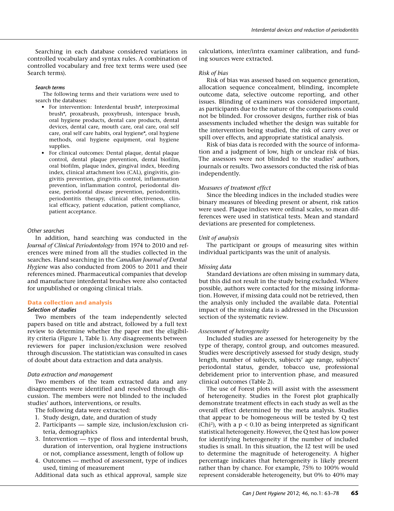Searching in each database considered variations in controlled vocabulary and syntax rules. A combination of controlled vocabulary and free text terms were used (see Search terms).

# *Search terms*

The following terms and their variations were used to search the databases:

- For intervention: Interdental brush\*, interproximal brush\*, proxabrush, proxybrush, interspace brush, oral hygiene products, dental care products, dental devices, dental care, mouth care, oral care, oral self care, oral self care habits, oral hygiene\*, oral hygiene methods, oral hygiene equipment, oral hygiene supplies.
- • For clinical outcomes: Dental plaque, dental plaque control, dental plaque prevention, dental biofilm, oral biofilm, plaque index, gingival index, bleeding index, clinical attachment loss (CAL), gingivitis, gingivitis prevention, gingivitis control, inflammation prevention, inflammation control, periodontal disease, periodontal disease prevention, periodontitis, periodontitis therapy, clinical effectiveness, clinical efficacy, patient education, patient compliance, patient acceptance.

# *Other searches*

In addition, hand searching was conducted in the *Journal of Clinical Periodontology* from 1974 to 2010 and references were mined from all the studies collected in the searches. Hand searching in the *Canadian Journal of Dental Hygiene* was also conducted from 2005 to 2011 and their references mined. Pharmaceutical companies that develop and manufacture interdental brushes were also contacted for unpublished or ongoing clinical trials.

## **Data collection and analysis**

# *Selection of studies*

Two members of the team independently selected papers based on title and abstract, followed by a full text review to determine whether the paper met the eligibility criteria (Figure 1, Table 1). Any disagreements between reviewers for paper inclusion/exclusion were resolved through discussion. The statistician was consulted in cases of doubt about data extraction and data analysis.

# *Data extraction and management*

Two members of the team extracted data and any disagreements were identified and resolved through discussion. The members were not blinded to the included studies' authors, interventions, or results.

The following data were extracted:

- 1. Study design, date, and duration of study
- 2. Participants sample size, inclusion/exclusion criteria, demographics
- 3. Intervention type of floss and interdental brush, duration of intervention, oral hygiene instructions or not, compliance assessment, length of follow up
- 4. Outcomes method of assessment, type of indices used, timing of measurement

Additional data such as ethical approval, sample size

calculations, inter/intra examiner calibration, and funding sources were extracted.

# *Risk of bias*

Risk of bias was assessed based on sequence generation, allocation sequence concealment, blinding, incomplete outcome data, selective outcome reporting, and other issues. Blinding of examiners was considered important, as participants due to the nature of the comparisons could not be blinded. For crossover designs, further risk of bias assessments included whether the design was suitable for the intervention being studied, the risk of carry over or spill over effects, and appropriate statistical analysis.

Risk of bias data is recorded with the source of information and a judgment of low, high or unclear risk of bias. The assessors were not blinded to the studies' authors, journals or results. Two assessors conducted the risk of bias independently.

# *Measures of treatment effect*

Since the bleeding indices in the included studies were binary measures of bleeding present or absent, risk ratios were used. Plaque indices were ordinal scales, so mean differences were used in statistical tests. Mean and standard deviations are presented for completeness.

# *Unit of analysis*

The participant or groups of measuring sites within individual participants was the unit of analysis.

## *Missing data*

Standard deviations are often missing in summary data, but this did not result in the study being excluded. Where possible, authors were contacted for the missing information. However, if missing data could not be retrieved, then the analysis only included the available data. Potential impact of the missing data is addressed in the Discussion section of the systematic review.

# *Assessment of heterogeneity*

Included studies are assessed for heterogeneity by the type of therapy, control group, and outcomes measured. Studies were descriptively assessed for study design, study length, number of subjects, subjects' age range, subjects' periodontal status, gender, tobacco use, professional debridement prior to intervention phase, and measured clinical outcomes (Table 2).

The use of Forest plots will assist with the assessment of heterogeneity. Studies in the Forest plot graphically demonstrate treatment effects in each study as well as the overall effect determined by the meta analysis. Studies that appear to be homogeneous will be tested by Q test (Chi<sup>2</sup>), with a  $p < 0.10$  as being interpreted as significant statistical heterogeneity. However, the Q test has low power for identifying heterogeneity if the number of included studies is small. In this situation, the I2 test will be used to determine the magnitude of heterogeneity. A higher percentage indicates that heterogeneity is likely present rather than by chance. For example, 75% to 100% would represent considerable heterogeneity, but 0% to 40% may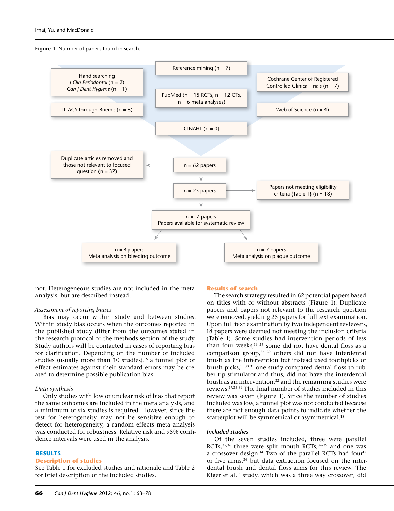**Figure 1.** Number of papers found in search.



not. Heterogeneous studies are not included in the meta analysis, but are described instead.

## *Assessment of reporting biases*

Bias may occur within study and between studies. Within study bias occurs when the outcomes reported in the published study differ from the outcomes stated in the research protocol or the methods section of the study. Study authors will be contacted in cases of reporting bias for clarification. Depending on the number of included studies (usually more than 10 studies),<sup>18</sup> a funnel plot of effect estimates against their standard errors may be created to determine possible publication bias.

## *Data synthesis*

Only studies with low or unclear risk of bias that report the same outcomes are included in the meta analysis, and a minimum of six studies is required. However, since the test for heterogeneity may not be sensitive enough to detect for heterogeneity, a random effects meta analysis was conducted for robustness. Relative risk and 95% confidence intervals were used in the analysis.

## **Results**

## **Description of studies**

See Table 1 for excluded studies and rationale and Table 2 for brief description of the included studies.

#### **Results of search**

The search strategy resulted in 62 potential papers based on titles with or without abstracts (Figure 1). Duplicate papers and papers not relevant to the research question were removed, yielding 25 papers for full text examination. Upon full text examination by two independent reviewers, 18 papers were deemed not meeting the inclusion criteria (Table 1). Some studies had intervention periods of less than four weeks,<sup>19-25</sup> some did not have dental floss as a comparison group, $26-29$  others did not have interdental brush as the intervention but instead used toothpicks or brush picks,<sup>11,30,31</sup> one study compared dental floss to rubber tip stimulator and thus, did not have the interdental brush as an intervention, $32$  and the remaining studies were reviews.17,33,34 The final number of studies included in this review was seven (Figure 1). Since the number of studies included was low, a funnel plot was not conducted because there are not enough data points to indicate whether the scatterplot will be symmetrical or asymmetrical.<sup>18</sup>

## *Included studies*

Of the seven studies included, three were parallel RCTs,<sup>35,36</sup> three were split mouth RCTs,<sup>37-39</sup> and one was a crossover design.<sup>14</sup> Two of the parallel RCTs had four<sup>17</sup> or five arms,<sup>36</sup> but data extraction focused on the interdental brush and dental floss arms for this review. The Kiger et al.14 study, which was a three way crossover, did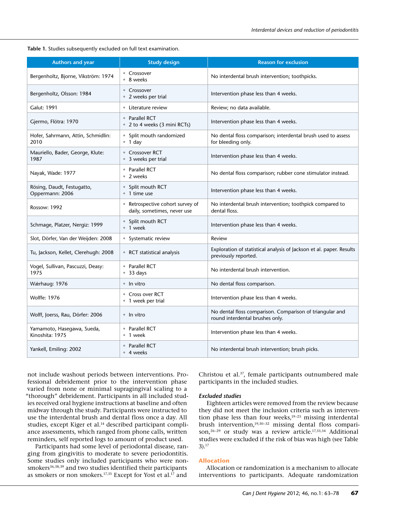#### **Table 1.** Studies subsequently excluded on full text examination.

| <b>Authors and year</b>                       | <b>Study design</b>                                             | <b>Reason for exclusion</b>                                                                  |
|-----------------------------------------------|-----------------------------------------------------------------|----------------------------------------------------------------------------------------------|
| Bergenholtz, Bjorne, Vikström: 1974           | • Crossover<br>• 8 weeks                                        | No interdental brush intervention; toothpicks.                                               |
| Bergenholtz, Olsson: 1984                     | • Crossover<br>• 2 weeks per trial                              | Intervention phase less than 4 weeks.                                                        |
| Galut: 1991                                   | • Literature review                                             | Review; no data available.                                                                   |
| Gjermo, Flötra: 1970                          | • Parallel RCT<br>• 2 to 4 weeks (3 mini RCTs)                  | Intervention phase less than 4 weeks.                                                        |
| Hofer, Sahrmann, Attin, Schmidlin:<br>2010    | • Split mouth randomized<br>$\bullet$ 1 day                     | No dental floss comparison; interdental brush used to assess<br>for bleeding only.           |
| Mauriello, Bader, George, Klute:<br>1987      | • Crossover RCT<br>• 3 weeks per trial                          | Intervention phase less than 4 weeks.                                                        |
| Nayak, Wade: 1977                             | • Parallel RCT<br>• 2 weeks                                     | No dental floss comparison; rubber cone stimulator instead.                                  |
| Rösing, Daudt, Festugatto,<br>Oppermann: 2006 | Split mouth RCT<br>• 1 time use                                 | Intervention phase less than 4 weeks.                                                        |
| <b>Rossow: 1992</b>                           | • Retrospective cohort survey of<br>daily, sometimes, never use | No interdental brush intervention; toothpick compared to<br>dental floss.                    |
| Schmage, Platzer, Nergiz: 1999                | • Split mouth RCT<br>• 1 week                                   | Intervention phase less than 4 weeks.                                                        |
| Slot, Dörfer, Van der Weijden: 2008           | • Systematic review                                             | Review                                                                                       |
| Tu, Jackson, Kellet, Clerehugh: 2008          | • RCT statistical analysis                                      | Exploration of statistical analysis of Jackson et al. paper. Results<br>previously reported. |
| Vogel, Sullivan, Pascuzzi, Deasy:<br>1975     | • Parallel RCT<br>• 33 days                                     | No interdental brush intervention.                                                           |
| Wærhaug: 1976                                 | • In vitro                                                      | No dental floss comparison.                                                                  |
| <b>Wolffe: 1976</b>                           | • Cross over RCT<br>• 1 week per trial                          | Intervention phase less than 4 weeks.                                                        |
| Wolff, Joerss, Rau, Dörfer: 2006              | • In vitro                                                      | No dental floss comparison. Comparison of triangular and<br>round interdental brushes only.  |
| Yamamoto, Hasegawa, Sueda,<br>Kinoshita: 1975 | • Parallel RCT<br>• 1 week                                      | Intervention phase less than 4 weeks.                                                        |
| Yankell, Emiling: 2002                        | • Parallel RCT<br>• 4 weeks                                     | No interdental brush intervention; brush picks.                                              |

not include washout periods between interventions. Professional debridement prior to the intervention phase varied from none or minimal supragingival scaling to a "thorough" debridement. Participants in all included studies received oral hygiene instructions at baseline and often midway through the study. Participants were instructed to use the interdental brush and dental floss once a day. All studies, except Kiger et al.<sup>14</sup> described participant compliance assessments, which ranged from phone calls, written reminders, self reported logs to amount of product used.

Participants had some level of periodontal disease, ranging from gingivitis to moderate to severe periodontitis. Some studies only included participants who were nonsmokers<sup>36,38,39</sup> and two studies identified their participants as smokers or non smokers.<sup>17,35</sup> Except for Yost et al.<sup>17</sup> and

Christou et al.37, female participants outnumbered male participants in the included studies.

# *Excluded studies*

Eighteen articles were removed from the review because they did not meet the inclusion criteria such as intervention phase less than four weeks, $19-25$  missing interdental brush intervention,<sup>19,30-32</sup> missing dental floss comparison,<sup>26-29</sup> or study was a review article.<sup>17,33,34</sup> Additional studies were excluded if the risk of bias was high (see Table 3).17

# **Allocation**

Allocation or randomization is a mechanism to allocate interventions to participants. Adequate randomization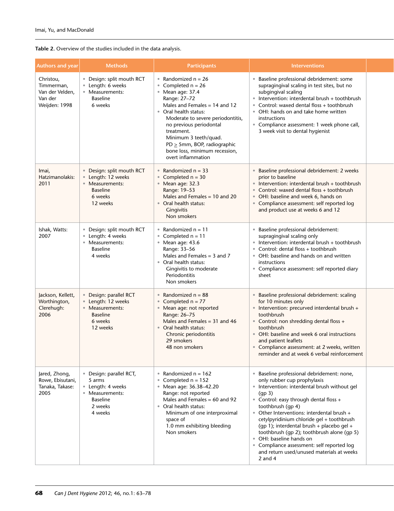**Table 2.** Overview of the studies included in the data analysis.

| Authors and year                                                       | <b>Methods</b>                                                                                              | <b>Participants</b>                                                                                                                                                                                                                                                                                                                             | <b>Interventions</b>                                                                                                                                                                                                                                                                                                                                                                                                                                                                                                |  |
|------------------------------------------------------------------------|-------------------------------------------------------------------------------------------------------------|-------------------------------------------------------------------------------------------------------------------------------------------------------------------------------------------------------------------------------------------------------------------------------------------------------------------------------------------------|---------------------------------------------------------------------------------------------------------------------------------------------------------------------------------------------------------------------------------------------------------------------------------------------------------------------------------------------------------------------------------------------------------------------------------------------------------------------------------------------------------------------|--|
| Christou,<br>Timmerman,<br>Van der Velden.<br>Van der<br>Weijden: 1998 | · Design: split mouth RCT<br>• Length: 6 weeks<br>• Measurements:<br><b>Baseline</b><br>6 weeks             | • Randomized $n = 26$<br>• Completed $n = 26$<br>• Mean age: 37.4<br>Range: 27-72<br>Males and Females $= 14$ and 12<br>• Oral health status:<br>Moderate to severe periodontitis,<br>no previous periodontal<br>treatment.<br>Minimum 3 teeth/quad.<br>$PD \ge 5mm$ , BOP, radiographic<br>bone loss, minimum recession,<br>overt inflammation | Baseline professional debridement: some<br>supragingival scaling in test sites, but no<br>subgingival scaling<br>Intervention: interdental brush + toothbrush<br>Control: waxed dental floss + toothbrush<br>• OHI: hands on and take home written<br>instructions<br>Compliance assessment: 1 week phone call,<br>3 week visit to dental hygienist                                                                                                                                                                 |  |
| Imai,<br>Hatzimanolakis:<br>2011                                       | · Design: split mouth RCT<br>Length: 12 weeks<br>• Measurements:<br><b>Baseline</b><br>6 weeks<br>12 weeks  | • Randomized $n = 33$<br>• Completed $n = 30$<br>• Mean age: 32.3<br>Range: 19-53<br>Males and Females $= 10$ and 20<br>• Oral health status:<br>Gingivitis<br>Non smokers                                                                                                                                                                      | Baseline professional debridement: 2 weeks<br>prior to baseline<br>Intervention: interdental brush + toothbrush<br>Control: waxed dental floss + toothbrush<br>OHI: baseline and week 6, hands on<br>Compliance assessment: self reported log<br>and product use at weeks 6 and 12                                                                                                                                                                                                                                  |  |
| Ishak, Watts:<br>2007                                                  | · Design: split mouth RCT<br>• Length: 4 weeks<br>• Measurements:<br>Baseline<br>4 weeks                    | • Randomized $n = 11$<br>• Completed $n = 11$<br>• Mean age: 43.6<br>Range: 33-56<br>Males and Females $=$ 3 and 7<br>• Oral health status:<br>Gingivitis to moderate<br>Periodontitis<br>Non smokers                                                                                                                                           | Baseline professional debridement:<br>supragingival scaling only<br>• Intervention: interdental brush + toothbrush<br>Control: dental floss + toothbrush<br>OHI: baseline and hands on and written<br>instructions<br>Compliance assessment: self reported diary<br>sheet                                                                                                                                                                                                                                           |  |
| Jackson, Kellett,<br>Worthington,<br>Clerehugh:<br>2006                | Design: parallel RCT<br>• Length: 12 weeks<br>• Measurements:<br>Baseline<br>6 weeks<br>12 weeks            | • Randomized $n = 88$<br>• Completed $n = 77$<br>• Mean age: not reported<br>Range: 26-75<br>Males and Females = $31$ and $46$<br>• Oral health status:<br>Chronic periodontitis<br>29 smokers<br>48 non smokers                                                                                                                                | Baseline professional debridement: scaling<br>for 10 minutes only<br>Intervention: precurved interdental brush +<br>toothbrush<br>Control: non shredding dental floss +<br>toothbrush<br>OHI: baseline and week 6 oral instructions<br>and patient leaflets<br>Compliance assessment: at 2 weeks, written<br>reminder and at week 6 verbal reinforcement                                                                                                                                                            |  |
| Jared, Zhong,<br>Rowe, Ebisutani,<br>Tanaka, Takase:<br>2005           | · Design: parallel RCT,<br>5 arms<br>• Length: 4 weeks<br>• Measurements:<br>Baseline<br>2 weeks<br>4 weeks | • Randomized $n = 162$<br>• Completed $n = 152$<br>• Mean age: 36.38-42.20<br>Range: not reported<br>Males and Females = $60$ and 92<br>• Oral health status:<br>Minimum of one interproximal<br>space of<br>1.0 mm exhibiting bleeding<br>Non smokers                                                                                          | Baseline professional debridement: none,<br>only rubber cup prophylaxis<br>Intervention: interdental brush without gel<br>(gp 3)<br>Control: easy through dental floss +<br>toothbrush (gp 4)<br>Other Interventions: interdental brush +<br>cetylpyridinium chloride gel + toothbrush<br>(gp 1); interdental brush + placebo gel +<br>toothbrush (gp 2); toothbrush alone (gp 5)<br>OHI: baseline hands on<br>Compliance assessment: self reported log<br>and return used/unused materials at weeks<br>$2$ and $4$ |  |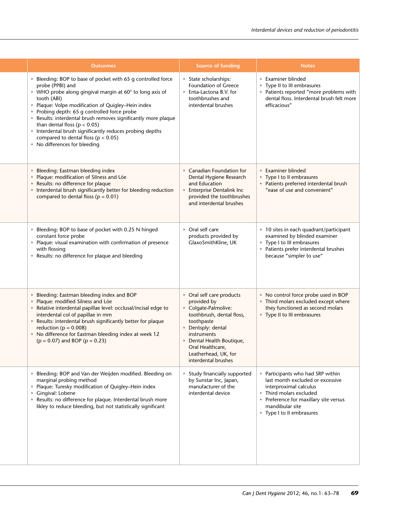| Bleeding: BOP to base of pocket with 65 g controlled force<br>• Examiner blinded<br>• State scholarships:<br>probe (PPBI) and<br><b>Foundation of Greece</b><br>• Type II to III embrasures<br>• Enta-Lactona B.V. for<br>WHO probe along gingival margin at 60° to long axis of<br>• Patients reported "more problems with<br>dental floss. Interdental brush felt more<br>toothbrushes and<br>tooth (ABI)<br>Plaque: Volpe modification of Quigley-Hein index<br>interdental brushes<br>efficacious"<br>Probing depth: 65 g controlled force probe                                                                                                                                                                                                                           |  |
|--------------------------------------------------------------------------------------------------------------------------------------------------------------------------------------------------------------------------------------------------------------------------------------------------------------------------------------------------------------------------------------------------------------------------------------------------------------------------------------------------------------------------------------------------------------------------------------------------------------------------------------------------------------------------------------------------------------------------------------------------------------------------------|--|
| Results: interdental brush removes significantly more plaque<br>than dental floss ( $p < 0.05$ )<br>Interdental brush significantly reduces probing depths<br>compared to dental floss ( $p < 0.05$ )<br>• No differences for bleeding                                                                                                                                                                                                                                                                                                                                                                                                                                                                                                                                         |  |
| Bleeding: Eastman bleeding index<br>• Canadian Foundation for<br>Examiner blinded<br>• Plaque: modification of Silness and Löe<br>Dental Hygiene Research<br>• Type I to II embrasures<br>Results: no difference for plaque<br>and Education<br>• Patients preferred interdental brush<br>Interdental brush significantly better for bleeding reduction<br><b>Enterprise Dentalink Inc</b><br>"ease of use and convenient"<br>compared to dental floss ( $p = 0.01$ )<br>provided the toothbrushes<br>and interdental brushes                                                                                                                                                                                                                                                  |  |
| • Oral self care<br>Bleeding: BOP to base of pocket with 0.25 N hinged<br>• 10 sites in each quadrant/participant<br>products provided by<br>examined by blinded examiner<br>constant force probe<br>Plaque: visual examination with confirmation of presence<br>GlaxoSmithKline, UK<br>• Type I to III embrasures<br>with flossing<br>• Patients prefer interdental brushes<br>Results: no difference for plaque and bleeding<br>because "simpler to use"                                                                                                                                                                                                                                                                                                                     |  |
| • Oral self care products<br>Bleeding: Eastman bleeding index and BOP<br>• No control force probe used in BOP<br>• Third molars excluded except where<br>Plaque: modified Silness and Löe<br>provided by<br>they functioned as second molars<br>Relative interdental papillae level: occlusal/incisal edge to<br>Colgate-Palmolive:<br>interdental col of papillae in mm<br>toothbrush, dental floss,<br>• Type II to III embrasures<br>Results: interdental brush significantly better for plaque<br>toothpaste<br>reduction ( $p = 0.008$ )<br>• Dentsply: dental<br>No difference for Eastman bleeding index at week 12<br>instruments<br>$(p = 0.07)$ and BOP $(p = 0.23)$<br>• Dental Health Boutique,<br>Oral Healthcare,<br>Leatherhead, UK, for<br>interdental brushes |  |
| • Study financially supported<br>Participants who had SRP within<br>Bleeding: BOP and Van der Weijden modified. Bleeding on<br>marginal probing method<br>last month excluded or excessive<br>by Sunstar Inc, Japan,<br>Plaque: Turesky modification of Quigley-Hein index<br>manufacturer of the<br>interproximal calculus<br>Gingival: Lobene<br>interdental device<br>• Third molars excluded<br>Results: no difference for plaque. Interdental brush more<br>• Preference for maxillary site versus<br>likley to reduce bleeding, but not statistically significant<br>mandibular site<br>• Type I to II embrasures                                                                                                                                                        |  |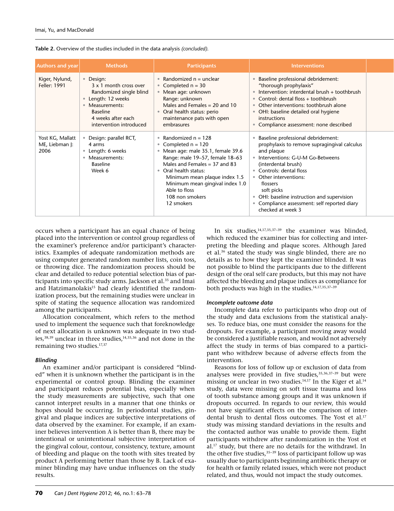| Authors and year                           | <b>Methods</b>                                                                                                                                                       | <b>Participants</b>                                                                                                                                                                                                                                                                                        | <b>Interventions</b>                                                                                                                                                                                                                                                                                                                                        |  |
|--------------------------------------------|----------------------------------------------------------------------------------------------------------------------------------------------------------------------|------------------------------------------------------------------------------------------------------------------------------------------------------------------------------------------------------------------------------------------------------------------------------------------------------------|-------------------------------------------------------------------------------------------------------------------------------------------------------------------------------------------------------------------------------------------------------------------------------------------------------------------------------------------------------------|--|
| Kiger, Nylund,<br>Feller: 1991             | • Design:<br>3 x 1 month cross over<br>Randomized single blind<br>• Length: 12 weeks<br>• Measurements:<br>Baseline<br>4 weeks after each<br>intervention introduced | • Randomized $n =$ unclear<br>• Completed $n = 30$<br>Mean age: unknown<br>Range: unknown<br>Males and Females $= 20$ and 10<br>• Oral health status: perio<br>maintenance pats with open<br>embrasures                                                                                                    | Baseline professional debridement:<br>"thorough prophylaxis"<br>• Intervention: interdental brush + toothbrush<br>• Control: dental floss + toothbrush<br>• Other interventions: toothbrush alone<br>• OHI: baseline detailed oral hygiene<br>instructions<br>• Compliance assessment: none described                                                       |  |
| Yost KG, Mallatt<br>ME, Liebman J:<br>2006 | Design: parallel RCT,<br>4 arms<br>• Length: 6 weeks<br>• Measurements:<br><b>Baseline</b><br>Week 6                                                                 | • Randomized $n = 128$<br>• Completed $n = 120$<br>• Mean age: male 35.1, female 39.6<br>Range: male 19-57, female 18-63<br>Males and Females $=$ 37 and 83<br>• Oral health status:<br>Minimum mean plaque index 1.5<br>Minimum mean gingival index 1.0<br>Able to floss<br>108 non smokers<br>12 smokers | Baseline professional debridement:<br>prophylaxis to remove supragingival calculus<br>and plaque<br>Interventions: G-U-M Go-Betweens<br>(interdental brush)<br>• Controls: dental floss<br>Other interventions:<br>flossers<br>soft picks<br>• OHI: baseline instruction and supervision<br>Compliance assessment: self reported diary<br>checked at week 3 |  |

**Table 2.** Overview of the studies included in the data analysis *(concluded)*.

occurs when a participant has an equal chance of being placed into the intervention or control group regardless of the examiner's preference and/or participant's characteristics. Examples of adequate randomization methods are using computer generated random number lists, coin toss, or throwing dice. The randomization process should be clear and detailed to reduce potential selection bias of participants into specific study arms. Jackson et al.<sup>35</sup> and Imai and Hatzimanolakis<sup>15</sup> had clearly identified the randomization process, but the remaining studies were unclear in spite of stating the sequence allocation was randomized among the participants.

Allocation concealment, which refers to the method used to implement the sequence such that foreknowledge of next allocation is unknown was adequate in two studies,<sup>38,39</sup> unclear in three studies,<sup>14,35,36</sup> and not done in the remaining two studies.<sup>17,37</sup>

# *Blinding*

An examiner and/or participant is considered "blinded" when it is unknown whether the participant is in the experimental or control group. Blinding the examiner and participant reduces potential bias, especially when the study measurements are subjective, such that one cannot interpret results in a manner that one thinks or hopes should be occurring. In periodontal studies, gingival and plaque indices are subjective interpretations of data observed by the examiner. For example, if an examiner believes intervention A is better than B, there may be intentional or unintentional subjective interpretation of the gingival colour, contour, consistency, texture, amount of bleeding and plaque on the tooth with sites treated by product A performing better than those by B. Lack of examiner blinding may have undue influences on the study results.

In six studies,14,17,35,37–39 the examiner was blinded, which reduced the examiner bias for collecting and interpreting the bleeding and plaque scores. Although Jared et al.36 stated the study was single blinded, there are no details as to how they kept the examiner blinded. It was not possible to blind the participants due to the different design of the oral self care products, but this may not have affected the bleeding and plaque indices as compliance for both products was high in the studies.14,17,35,37–39

# *Incomplete outcome data*

Incomplete data refer to participants who drop out of the study and data exclusions from the statistical analyses. To reduce bias, one must consider the reasons for the dropouts. For example, a participant moving away would be considered a justifiable reason, and would not adversely affect the study in terms of bias compared to a participant who withdrew because of adverse effects from the intervention.

Reasons for loss of follow up or exclusion of data from analyses were provided in five studies,35,36,37–39 but were missing or unclear in two studies.<sup>14,17</sup> In the Kiger et al.<sup>14</sup> study, data were missing on soft tissue trauma and loss of tooth substance among groups and it was unknown if dropouts occurred. In regards to our review, this would not have significant effects on the comparison of interdental brush to dental floss outcomes. The Yost et al.<sup>17</sup> study was missing standard deviations in the results and the contacted author was unable to provide them. Eight participants withdrew after randomization in the Yost et al.17 study, but there are no details for the withdrawl. In the other five studies, 35-39 loss of participant follow up was usually due to participants beginning antibiotic therapy or for health or family related issues, which were not product related, and thus, would not impact the study outcomes.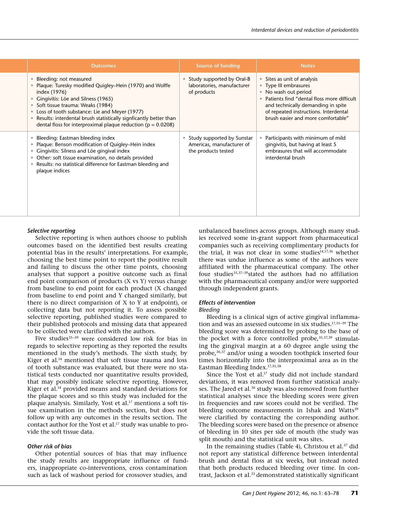| <b>Outcomes</b>                                                                                                                                                                                                                                                                                                                                                                      | Source of funding                                                                | <b>Notes</b>                                                                                                                                                                                                                                |
|--------------------------------------------------------------------------------------------------------------------------------------------------------------------------------------------------------------------------------------------------------------------------------------------------------------------------------------------------------------------------------------|----------------------------------------------------------------------------------|---------------------------------------------------------------------------------------------------------------------------------------------------------------------------------------------------------------------------------------------|
| <b>Bleeding: not measured</b><br>• Plaque: Turesky modified Quigley-Hein (1970) and Wolffe<br>index (1976)<br>• Gingivitis: Löe and Silness (1965)<br>• Soft tissue trauma: Weaks (1984)<br>• Loss of tooth substance: Lie and Meyer (1977)<br>Results: interdental brush statistically signficantly better than<br>dental floss for interproximal plaque reduction ( $p = 0.0208$ ) | • Study supported by Oral-B<br>laboratories, manufacturer<br>of products         | Sites as unit of analysis<br>Type III embrasures<br>• No wash out period<br>Patients find "dental floss more difficult<br>and technically demanding in spite<br>of repeated instructions. Interdental<br>brush easier and more comfortable" |
| Bleeding: Eastman bleeding index<br>• Plaque: Benson modification of Quigley-Hein index<br>• Gingivitis: Silness and Löe gingival index<br>• Other: soft tissue examination, no details provided<br>• Results: no statistical difference for Eastman bleeding and<br>plaque indices                                                                                                  | • Study supported by Sunstar<br>Americas, manufacturer of<br>the products tested | Participants with minimum of mild<br>gingivitis, but having at least 5<br>embrasures that will accommodate<br>interdental brush                                                                                                             |

## *Selective reporting*

Selective reporting is when authors choose to publish outcomes based on the identified best results creating potential bias in the results' interpretations. For example, choosing the best time point to report the positive result and failing to discuss the other time points, choosing analyses that support a positive outcome such as final end point comparison of products (X vs Y) versus change from baseline to end point for each product (X changed from baseline to end point and Y changed similarly, but there is no direct comparision of X to Y at endpoint), or collecting data but not reporting it. To assess possible selective reporting, published studies were compared to their published protocols and missing data that appeared to be collected were clarified with the authors.

Five studies<sup>35-39</sup> were considered low risk for bias in regards to selective reporting as they reported the results mentioned in the study's methods. The sixth study, by Kiger et al.14 mentioned that soft tissue trauma and loss of tooth substance was evaluated, but there were no statistical tests conducted nor quantitative results provided, that may possibly indicate selective reporting. However, Kiger et al.14 provided means and standard deviations for the plaque scores and so this study was included for the plaque analysis. Similarly, Yost et al.17 mentions a soft tissue examination in the methods section, but does not follow up with any outcomes in the results section. The contact author for the Yost et al.<sup>17</sup> study was unable to provide the soft tissue data.

# *Other risk of bias*

Other potential sources of bias that may influence the study results are inappropriate influence of funders, inappropriate co-interventions, cross contamination such as lack of washout period for crossover studies, and

unbalanced baselines across groups. Although many studies received some in-grant support from pharmaceutical companies such as receiving complimentary products for the trial, it was not clear in some studies<sup>14,17,36</sup> whether there was undue influence as some of the authors were affiliated with the pharmaceutical company. The other four studies<sup>35,37-39</sup>stated the authors had no affiliation with the pharmaceutical company and/or were supported through independent grants.

## *Effects of intervention*

## *Bleeding*

Bleeding is a clinical sign of active gingival inflammation and was an assessed outcome in six studies.17,35–39 The bleeding score was determined by probing to the base of the pocket with a force controlled probe,35,37,39 stimulating the gingival margin at a 60 degree angle using the probe,<sup>36,37</sup> and/or using a wooden toothpick inserted four times horizontally into the interproximal area as in the Eastman Bleeding Index.17,35,38

Since the Yost et al.<sup>17</sup> study did not include standard deviations, it was removed from further statistical analyses. The Jared et al.<sup>36</sup> study was also removed from further statistical analyses since the bleeding scores were given in frequencies and raw scores could not be verified. The bleeding outcome measurements in Ishak and Watts<sup>39</sup> were clarified by contacting the corresponding author. The bleeding scores were based on the presence or absence of bleeding in 10 sites per side of mouth (the study was split mouth) and the statistical unit was sites.

In the remaining studies (Table 4), Christou et al.37 did not report any statistical difference between interdental brush and dental floss at six weeks, but instead noted that both products reduced bleeding over time. In contrast, Jackson et al.<sup>35</sup> demonstrated statistically significant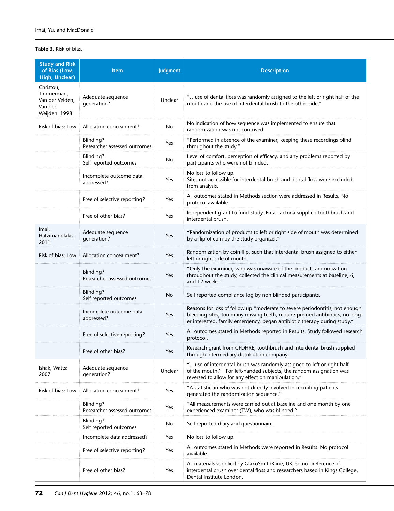# **Table 3.** Risk of bias.

| <b>Study and Risk</b><br>of Bias (Low,<br>High, Unclear)               | <b>Item</b>                               | Judgment | <b>Description</b>                                                                                                                                                                                                                      |
|------------------------------------------------------------------------|-------------------------------------------|----------|-----------------------------------------------------------------------------------------------------------------------------------------------------------------------------------------------------------------------------------------|
| Christou,<br>Timmerman,<br>Van der Velden,<br>Van der<br>Weijden: 1998 | Adequate sequence<br>qeneration?          | Unclear  | "use of dental floss was randomly assigned to the left or right half of the<br>mouth and the use of interdental brush to the other side."                                                                                               |
| Risk of bias: Low                                                      | Allocation concealment?                   | No       | No indication of how sequence was implemented to ensure that<br>randomization was not contrived.                                                                                                                                        |
|                                                                        | Blinding?<br>Researcher assessed outcomes | Yes      | "Performed in absence of the examiner, keeping these recordings blind<br>throughout the study."                                                                                                                                         |
|                                                                        | Blinding?<br>Self reported outcomes       | No       | Level of comfort, perception of efficacy, and any problems reported by<br>participants who were not blinded.                                                                                                                            |
|                                                                        | Incomplete outcome data<br>addressed?     | Yes      | No loss to follow up.<br>Sites not accessible for interdental brush and dental floss were excluded<br>from analysis.                                                                                                                    |
|                                                                        | Free of selective reporting?              | Yes      | All outcomes stated in Methods section were addressed in Results. No<br>protocol available.                                                                                                                                             |
|                                                                        | Free of other bias?                       | Yes      | Independent grant to fund study. Enta-Lactona supplied toothbrush and<br>interdental brush.                                                                                                                                             |
| lmai,<br>Hatzimanolakis:<br>2011                                       | Adequate sequence<br>qeneration?          | Yes      | "Randomization of products to left or right side of mouth was determined<br>by a flip of coin by the study organizer."                                                                                                                  |
| Risk of bias: Low                                                      | Allocation concealment?                   | Yes      | Randomization by coin flip, such that interdental brush assigned to either<br>left or right side of mouth.                                                                                                                              |
|                                                                        | Blinding?<br>Researcher assessed outcomes | Yes      | "Only the examiner, who was unaware of the product randomization<br>throughout the study, collected the clinical measurements at baseline, 6,<br>and 12 weeks."                                                                         |
|                                                                        | Blinding?<br>Self reported outcomes       | No       | Self reported compliance log by non blinded participants.                                                                                                                                                                               |
|                                                                        | Incomplete outcome data<br>addressed?     | Yes      | Reasons for loss of follow up "moderate to severe periodontitis, not enough<br>bleeding sites, too many missing teeth, require premed antibiotics, no long-<br>er interested, family emergency, began antibiotic therapy during study." |
|                                                                        | Free of selective reporting?              | Yes      | All outcomes stated in Methods reported in Results. Study followed research<br>protocol.                                                                                                                                                |
|                                                                        | Free of other bias?                       | Yes      | Research grant from CFDHRE; toothbrush and interdental brush supplied<br>through intermediary distribution company.                                                                                                                     |
| Ishak, Watts:<br>2007                                                  | Adequate sequence<br>generation?          | Unclear  | "use of interdental brush was randomly assigned to left or right half<br>of the mouth." "For left-handed subjects, the random assignation was<br>reversed to allow for any effect on manipulation."                                     |
| Risk of bias: Low                                                      | Allocation concealment?                   | Yes      | "A statistician who was not directly involved in recruiting patients<br>generated the randomization sequence."                                                                                                                          |
|                                                                        | Blinding?<br>Researcher assessed outcomes | Yes      | "All measurements were carried out at baseline and one month by one<br>experienced examiner (TW), who was blinded."                                                                                                                     |
|                                                                        | Blinding?<br>Self reported outcomes       | No       | Self reported diary and questionnaire.                                                                                                                                                                                                  |
|                                                                        | Incomplete data addressed?                | Yes      | No loss to follow up.                                                                                                                                                                                                                   |
|                                                                        | Free of selective reporting?              | Yes      | All outcomes stated in Methods were reported in Results. No protocol<br>available.                                                                                                                                                      |
|                                                                        | Free of other bias?                       | Yes      | All materials supplied by GlaxoSmithKline, UK, so no preference of<br>interdental brush over dental floss and researchers based in Kings College,<br>Dental Institute London.                                                           |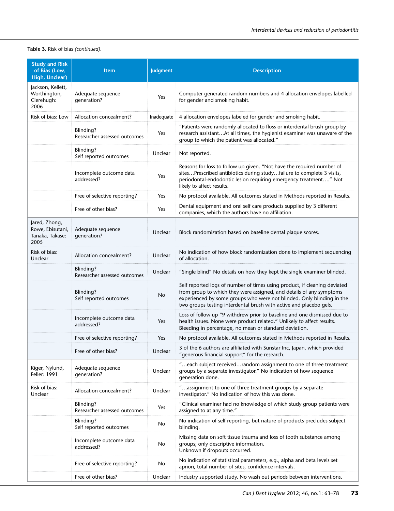# **Table 3.** Risk of bias *(continued)*.

| <b>Study and Risk</b><br>of Bias (Low,<br>High, Unclear)     | <b>Item</b>                               | Judgment   | <b>Description</b>                                                                                                                                                                                                                                                                              |
|--------------------------------------------------------------|-------------------------------------------|------------|-------------------------------------------------------------------------------------------------------------------------------------------------------------------------------------------------------------------------------------------------------------------------------------------------|
| Jackson, Kellett,<br>Worthington,<br>Clerehugh:<br>2006      | Adequate sequence<br>generation?          | Yes        | Computer generated random numbers and 4 allocation envelopes labelled<br>for gender and smoking habit.                                                                                                                                                                                          |
| Risk of bias: Low                                            | Allocation concealment?                   | Inadequate | 4 allocation envelopes labeled for gender and smoking habit.                                                                                                                                                                                                                                    |
|                                                              | Blinding?<br>Researcher assessed outcomes | Yes        | "Patients were randomly allocated to floss or interdental brush group by<br>research assistantAt all times, the hygienist examiner was unaware of the<br>group to which the patient was allocated."                                                                                             |
|                                                              | Blinding?<br>Self reported outcomes       | Unclear    | Not reported.                                                                                                                                                                                                                                                                                   |
|                                                              | Incomplete outcome data<br>addressed?     | Yes        | Reasons for loss to follow up given. "Not have the required number of<br>sitesPrescribed antibiotics during studyfailure to complete 3 visits,<br>periodontal-endodontic lesion requiring emergency treatment" Not<br>likely to affect results.                                                 |
|                                                              | Free of selective reporting?              | Yes        | No protocol available. All outcomes stated in Methods reported in Results.                                                                                                                                                                                                                      |
|                                                              | Free of other bias?                       | Yes        | Dental equipment and oral self care products supplied by 3 different<br>companies, which the authors have no affiliation.                                                                                                                                                                       |
| Jared, Zhong,<br>Rowe, Ebisutani,<br>Tanaka, Takase:<br>2005 | Adequate sequence<br>generation?          | Unclear    | Block randomization based on baseline dental plaque scores.                                                                                                                                                                                                                                     |
| Risk of bias:<br>Unclear                                     | Allocation concealment?                   | Unclear    | No indication of how block randomization done to implement sequencing<br>of allocation.                                                                                                                                                                                                         |
|                                                              | Blinding?<br>Researcher assessed outcomes | Unclear    | "Single blind" No details on how they kept the single examiner blinded.                                                                                                                                                                                                                         |
|                                                              | Blinding?<br>Self reported outcomes       | No         | Self reported logs of number of times using product, if cleaning deviated<br>from group to which they were assigned, and details of any symptoms<br>experienced by some groups who were not blinded. Only blinding in the<br>two groups testing interdental brush with active and placebo gels. |
|                                                              | Incomplete outcome data<br>addressed?     | Yes        | Loss of follow up "9 withdrew prior to baseline and one dismissed due to<br>health issues. None were product related." Unlikely to affect results.<br>Bleeding in percentage, no mean or standard deviation.                                                                                    |
|                                                              | Free of selective reporting?              | Yes        | No protocol available. All outcomes stated in Methods reported in Results.                                                                                                                                                                                                                      |
|                                                              | Free of other bias?                       | Unclear    | 3 of the 6 authors are affiliated with Sunstar Inc, Japan, which provided<br>"generous financial support" for the research.                                                                                                                                                                     |
| Kiger, Nylund,<br>Feller: 1991                               | Adequate sequence<br>qeneration?          | Unclear    | "each subject receivedrandom assignment to one of three treatment<br>groups by a separate investigator." No indication of how sequence<br>generation done.                                                                                                                                      |
| Risk of bias:<br>Unclear                                     | Allocation concealment?                   | Unclear    | "assignment to one of three treatment groups by a separate<br>investigator." No indication of how this was done.                                                                                                                                                                                |
|                                                              | Blinding?<br>Researcher assessed outcomes | Yes        | "Clinical examiner had no knowledge of which study group patients were<br>assigned to at any time."                                                                                                                                                                                             |
|                                                              | Blinding?<br>Self reported outcomes       | No         | No indication of self reporting, but nature of products precludes subject<br>blinding.                                                                                                                                                                                                          |
|                                                              | Incomplete outcome data<br>addressed?     | No         | Missing data on soft tissue trauma and loss of tooth substance among<br>groups; only descriptive information.<br>Unknown if dropouts occurred.                                                                                                                                                  |
|                                                              | Free of selective reporting?              | No         | No indication of statistical parameters, e.g., alpha and beta levels set<br>apriori, total number of sites, confidence intervals.                                                                                                                                                               |
|                                                              | Free of other bias?                       | Unclear    | Industry supported study. No wash out periods between interventions.                                                                                                                                                                                                                            |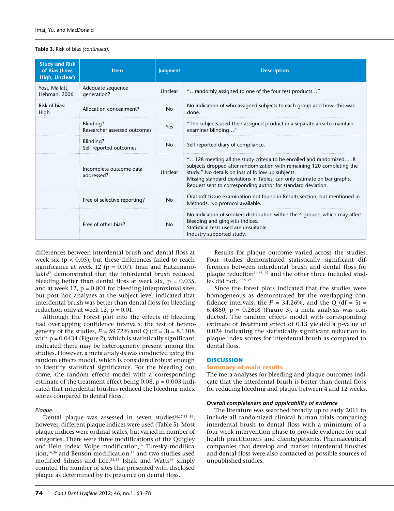**Table 3.** Risk of bias *(continued)*.

| <b>Study and Risk</b><br>of Bias (Low,<br>High, Unclear) | <b>Item</b>                               | <b>Judgment</b> | <b>Description</b>                                                                                                                                                                                                                                                                                                                           |
|----------------------------------------------------------|-------------------------------------------|-----------------|----------------------------------------------------------------------------------------------------------------------------------------------------------------------------------------------------------------------------------------------------------------------------------------------------------------------------------------------|
| Yost, Mallatt,<br>Liebman: 2006                          | Adequate sequence<br>qeneration?          | Unclear         | "randomly assigned to one of the four test products"                                                                                                                                                                                                                                                                                         |
| Risk of bias:<br>High                                    | Allocation concealment?                   | <b>No</b>       | No indication of who assigned subjects to each group and how this was<br>done.                                                                                                                                                                                                                                                               |
|                                                          | Blinding?<br>Researcher assessed outcomes | Yes             | "The subjects used their assigned product in a separate area to maintain<br>examiner blinding"                                                                                                                                                                                                                                               |
|                                                          | Blinding?<br>Self reported outcomes       | N <sub>0</sub>  | Self reported diary of compliance.                                                                                                                                                                                                                                                                                                           |
|                                                          | Incomplete outcome data<br>addressed?     | Unclear         | "128 meeting all the study criteria to be enrolled and randomized8<br>subjects dropped after randomization with remaining 120 completing the<br>study." No details on loss of follow up subjects.<br>Missing standard deviations in Tables; can only estimate on bar graphs.<br>Request sent to corresponding author for standard deviation. |
|                                                          | Free of selective reporting?<br><b>No</b> |                 | Oral soft tissue examination not found in Results section, but mentioned in<br>Methods. No protocol available.                                                                                                                                                                                                                               |
|                                                          | Free of other bias?                       | No              | No indication of smokers distribution within the 4 groups, which may affect<br>bleeding and gingivitis indices.<br>Statistical tests used are unsuitable.<br>Industry supported study.                                                                                                                                                       |

differences between interdental brush and dental floss at week six ( $p < 0.05$ ), but these differences failed to reach significance at week 12 ( $p = 0.07$ ). Imai and Hatzimanolakis<sup>15</sup> demonstrated that the interdental brush reduced bleeding better than dental floss at week six,  $p = 0.035$ , and at week  $12$ ,  $p = 0.001$  for bleeding interproximal sites, but post hoc analyses at the subject level indicated that interdental brush was better than dental floss for bleeding reduction only at week 12,  $p = 0.01$ .

Although the Forest plot into the effects of bleeding had overlapping confidence intervals, the test of heterogeneity of the studies,  $I^2 = 59.72\%$  and Q (df = 3) = 8.1308 with  $p = 0.0434$  (Figure 2), which is statistically significant, indicated there may be heterogeneity present among the studies. However, a meta analysis was conducted using the random effects model, which is considered robust enough to identify statistical significance. For the bleeding outcome, the random effects model with a corresponding estimate of the treatment effect being 0.08,  $p = 0.003$  indicated that interdental brushes reduced the bleeding index scores compared to dental floss.

# *Plaque*

Dental plaque was assessed in seven studies $14,17,35-39$ ; however, different plaque indices were used (Table 5). Most plaque indices were ordinal scales, but varied in number of categories. There were three modifications of the Quigley and Hein index: Volpe modification,<sup>37</sup> Turesky modification,<sup>14,36</sup> and Benson modification;<sup>17</sup> and two studies used modified Silness and Löe.<sup>35,38</sup> Ishak and Watts<sup>39</sup> simply counted the number of sites that presented with disclosed plaque as determined by its presence on dental floss.

Results for plaque outcome varied across the studies. Four studies demonstrated statistically significant differences between interdental brush and dental floss for plaque reduction $14,35-37$  and the other three included studies did not.17,38,39

Since the forest plots indicated that the studies were homogeneous as demonstrated by the overlapping confidence intervals, the  $I^2 = 34.26\%$ , and the Q (df = 5) = 6.4860,  $p = 0.2618$  (Figure 3), a meta analysis was conducted. The random effects model with corresponding estimate of treatment effect of 0.13 yielded a p-value of 0.024 indicating the statistically significant reduction in plaque index scores for interdental brush as compared to dental floss.

## **Discussion**

## **Summary of main results**

The meta analyses for bleeding and plaque outcomes indicate that the interdental brush is better than dental floss for reducing bleeding and plaque between 4 and 12 weeks.

## *Overall completeness and applicability of evidence*

The literature was searched broadly up to early 2011 to include all randomized clinical human trials comparing interdental brush to dental floss with a minimum of a four week intervention phase to provide evidence for oral health practitioners and clients/patients. Pharmaceutical companies that develop and market interdental brushes and dental floss were also contacted as possible sources of unpublished studies.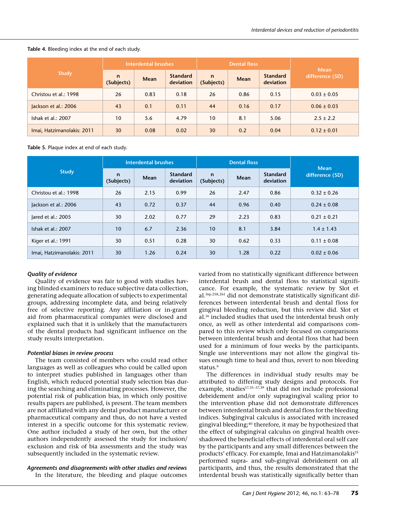#### **Table 4.** Bleeding index at the end of each study.

|                            |                            | <b>Interdental brushes</b> |                              |                           | <b>Dental floss</b> | <b>Mean</b>                  |                 |
|----------------------------|----------------------------|----------------------------|------------------------------|---------------------------|---------------------|------------------------------|-----------------|
| <b>Study</b>               | $\mathsf{n}$<br>(Subjects) | <b>Mean</b>                | <b>Standard</b><br>deviation | $\mathbf n$<br>(Subjects) | <b>Mean</b>         | <b>Standard</b><br>deviation | difference (SD) |
| Christou et al.: 1998      | 26                         | 0.83                       | 0.18                         | 26                        | 0.86                | 0.15                         | $0.03 \pm 0.05$ |
| Jackson et al.: 2006       | 43                         | 0.1                        | 0.11                         | 44                        | 0.16                | 0.17                         | $0.06 \pm 0.03$ |
| Ishak et al.: 2007         | 10                         | 5.6                        | 4.79                         | 10                        | 8.1                 | 5.06                         | $2.5 \pm 2.2$   |
| Imai, Hatzimanolakis: 2011 | 30                         | 0.08                       | 0.02                         | 30                        | 0.2                 | 0.04                         | $0.12 \pm 0.01$ |

**Table 5.** Plaque index at end of each study.

| <b>Study</b>               |                           | <b>Interdental brushes</b> |                              |                           | <b>Dental floss</b> | <b>Mean</b>                  |                 |
|----------------------------|---------------------------|----------------------------|------------------------------|---------------------------|---------------------|------------------------------|-----------------|
|                            | $\mathbf n$<br>(Subjects) | Mean                       | <b>Standard</b><br>deviation | $\mathbf n$<br>(Subjects) | Mean                | <b>Standard</b><br>deviation | difference (SD) |
| Christou et al.: 1998      | 26                        | 2.15                       | 0.99                         | 26                        | 2.47                | 0.86                         | $0.32 \pm 0.26$ |
| Jackson et al.: 2006       | 43                        | 0.72                       | 0.37                         | 44                        | 0.96                | 0.40                         | $0.24 \pm 0.08$ |
| lared et al.: 2005         | 30                        | 2.02                       | 0.77                         | 29                        | 2.23                | 0.83                         | $0.21 \pm 0.21$ |
| Ishak et al.: 2007         | 10                        | 6.7                        | 2.36                         | 10                        | 8.1                 | 3.84                         | $1.4 \pm 1.43$  |
| Kiger et al.: 1991         | 30                        | 0.51                       | 0.28                         | 30                        | 0.62                | 0.33                         | $0.11 \pm 0.08$ |
| Imai, Hatzimanolakis: 2011 | 30                        | 1.26                       | 0.24                         | 30                        | 1.28                | 0.22                         | $0.02 \pm 0.06$ |

## *Quality of evidence*

Quality of evidence was fair to good with studies having blinded examiners to reduce subjective data collection, generating adequate allocation of subjects to experimental groups, addressing incomplete data, and being relatively free of selective reporting. Any affiliation or in-grant aid from pharmaceutical companies were disclosed and explained such that it is unlikely that the manufacturers of the dental products had significant influence on the study results interpretation.

## *Potential biases in review process*

The team consisted of members who could read other languages as well as colleagues who could be called upon to interpret studies published in languages other than English, which reduced potential study selection bias during the searching and eliminating processes. However, the potential risk of publication bias, in which only positive results papers are published, is present. The team members are not affiliated with any dental product manufacturer or pharmaceutical company and thus, do not have a vested interest in a specific outcome for this systematic review. One author included a study of her own, but the other authors independently assessed the study for inclusion/ exclusion and risk of bia assessments and the study was subsequently included in the systematic review.

# *Agreements and disagreements with other studies and reviews* In the literature, the bleeding and plaque outcomes

varied from no statistically significant difference between interdental brush and dental floss to statistical significance. For example, the systematic review by Slot et al.16p.258,261 did not demonstrate statistically significant differences between interdental brush and dental floss for gingival bleeding reduction, but this review did. Slot et al.16 included studies that used the interdental brush only once, as well as other interdental aid comparisons compared to this review which only focused on comparisons between interdental brush and dental floss that had been used for a minimum of four weeks by the participants. Single use interventions may not allow the gingival tissues enough time to heal and thus, revert to non bleeding status.<sup>6</sup>

The differences in individual study results may be attributed to differing study designs and protocols. For example, studies<sup>17,35-37,39</sup> that did not include professional debridement and/or only supragingival scaling prior to the intervention phase did not demonstrate differences between interdental brush and dental floss for the bleeding indices. Subgingival calculus is associated with increased gingival bleeding;<sup>40</sup> therefore, it may be hypothesized that the effect of subgingival calculus on gingival health overshadowed the beneficial effects of interdental oral self care by the participants and any small differences between the products' efficacy. For example, Imai and Hatzimanolakis<sup>15</sup> performed supra- and sub-gingival debridement on all participants, and thus, the results demonstrated that the interdental brush was statistically significally better than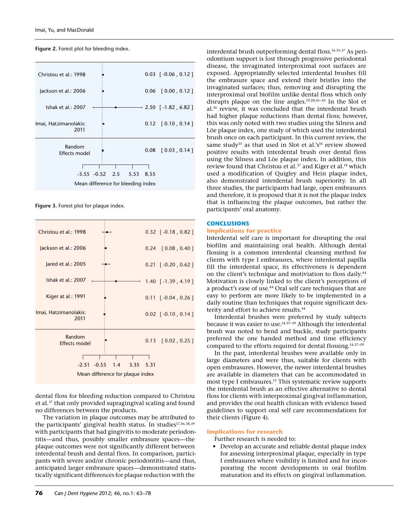

**Figure 2.** Forest plot for bleeding index.

**Figure 3.** Forest plot for plaque index.



dental floss for bleeding reduction compared to Christou et al.37 that only provided supragingival scaling and found no differences between the products.

The variation in plaque outcomes may be attributed to the participants' gingival health status. In studies<sup>17,36,38,39</sup> with participants that had gingivitis to moderate periodontitis—and thus, possibly smaller embrasure spaces—the plaque outcomes were not significantly different between interdental brush and dental floss. In comparison, participants with severe and/or chronic periodontitis—and thus, anticipated larger embrasure spaces—demonstrated statistically significant differences for plaque reduction with the

interdental brush outperforming dental floss.<sup>14,35,37</sup> As periodontium support is lost through progressive periodontal disease, the invaginated interproximal root surfaces are exposed. Appropriatedly selected interdental brushes fill the embrasure space and extend their bristles into the invaginated surfaces; thus, removing and disrupting the interproximal oral biofilm unlike dental floss which only disrupts plaque on the line angles.19,28,41–43 In the Slot et al.16 review, it was concluded that the interdental brush had higher plaque reductions than dental floss; however, this was only noted with two studies using the Silness and Löe plaque index, one study of which used the interdental brush once on each participant. In this current review, the same study<sup>35</sup> as that used in Slot et al.'s<sup>16</sup> review showed positive results with interdental brush over dental floss using the Silness and Löe plaque index. In addition, this review found that Christou et al.<sup>37</sup> and Kiger et al.<sup>14</sup> which used a modification of Quigley and Hein plaque index, also demonstrated interdental brush superiority. In all three studies, the participants had large, open embrasures and therefore, it is proposed that it is not the plaque index that is influencing the plaque outcomes, but rather the participants' oral anatomy.

## **Conclusions**

#### **Implications for practice**

Interdental self care is important for disrupting the oral biofilm and maintaining oral health. Although dental flossing is a common interdental cleansing method for clients with type I embrasures, where interdental papilla fill the interdental space, its effectiveness is dependent on the client's technique and motiviation to floss daily.44 Motivation is closely linked to the client's perceptions of a product's ease of use.44 Oral self care techniques that are easy to perform are more likely to be implemented in a daily routine than techniques that require significant dexterity and effort to achieve results.<sup>44</sup>

Interdental brushes were preferred by study subjects because it was easier to use.<sup>14,37-39</sup> Although the interdental brush was noted to bend and buckle, study participants preferred the one handed method and time efficiency compared to the efforts required for dental flossing.14,37–39

In the past, interdental brushes were available only in large diameters and were thus, suitable for clients with open embrasures. However, the newer interdental brushes are available in diameters that can be accommodated in most type I embrasures.15 This systematic review supports the interdental brush as an effective alternative to dental floss for clients with interproximal gingival inflammation, and provides the oral health clinican with evidence based guidelines to support oral self care recommendations for their clients (Figure 4).

## **Implications for research**

Further research is needed to:

• Develop an accurate and reliable dental plaque index for assessing interproximal plaque, especially in type I embrasures where visibility is limited and for incorporating the recent developments in oral biofilm maturation and its effects on gingival inflammation.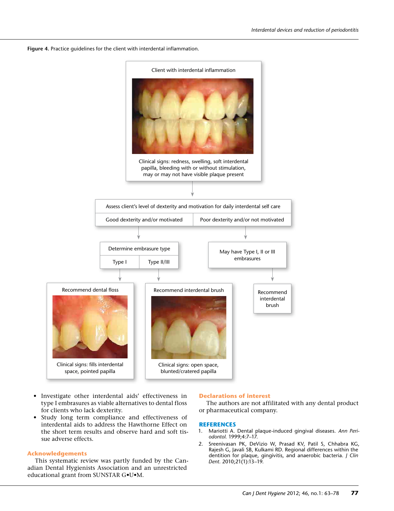**Figure 4.** Practice guidelines for the client with interdental inflammation.



- • Investigate other interdental aids' effectiveness in type I embrasures as viable alternatives to dental floss for clients who lack dexterity.
- • Study long term compliance and effectiveness of interdental aids to address the Hawthorne Effect on the short term results and observe hard and soft tissue adverse effects.

# **Acknowledgements**

This systematic review was partly funded by the Canadian Dental Hygienists Association and an unrestricted educational grant from SUNSTAR G•U•M.

## **Declarations of interest**

The authors are not affilitated with any dental product or pharmaceutical company.

## **References**

- 1. Mariotti A. Dental plaque-induced gingival diseases. *Ann Periodontol.* 1999;4:7–17.
- 2. Sreenivasan PK, DeVizio W, Prasad KV, Patil S, Chhabra KG, Rajesh G, Javali SB, Kulkami RD. Regional differences within the dentition for plaque, gingivitis, and anaerobic bacteria. *J Clin Dent.* 2010;21(1):13–19.